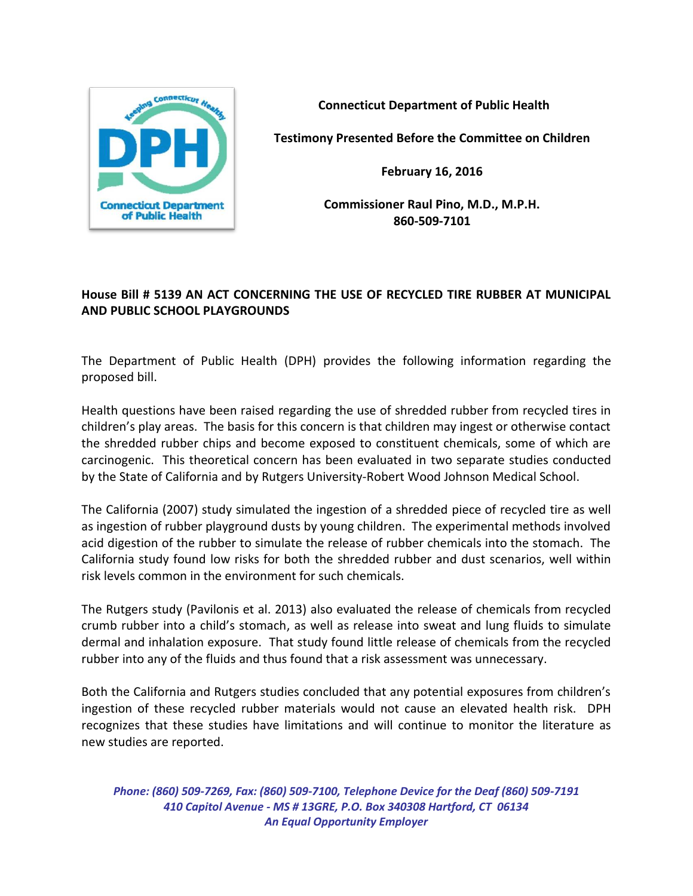

**Connecticut Department of Public Health**

**Testimony Presented Before the Committee on Children**

**February 16, 2016**

**Commissioner Raul Pino, M.D., M.P.H. 860-509-7101**

## **House Bill # 5139 AN ACT CONCERNING THE USE OF RECYCLED TIRE RUBBER AT MUNICIPAL AND PUBLIC SCHOOL PLAYGROUNDS**

The Department of Public Health (DPH) provides the following information regarding the proposed bill.

Health questions have been raised regarding the use of shredded rubber from recycled tires in children's play areas. The basis for this concern is that children may ingest or otherwise contact the shredded rubber chips and become exposed to constituent chemicals, some of which are carcinogenic. This theoretical concern has been evaluated in two separate studies conducted by the State of California and by Rutgers University-Robert Wood Johnson Medical School.

The California (2007) study simulated the ingestion of a shredded piece of recycled tire as well as ingestion of rubber playground dusts by young children. The experimental methods involved acid digestion of the rubber to simulate the release of rubber chemicals into the stomach. The California study found low risks for both the shredded rubber and dust scenarios, well within risk levels common in the environment for such chemicals.

The Rutgers study (Pavilonis et al. 2013) also evaluated the release of chemicals from recycled crumb rubber into a child's stomach, as well as release into sweat and lung fluids to simulate dermal and inhalation exposure. That study found little release of chemicals from the recycled rubber into any of the fluids and thus found that a risk assessment was unnecessary.

Both the California and Rutgers studies concluded that any potential exposures from children's ingestion of these recycled rubber materials would not cause an elevated health risk. DPH recognizes that these studies have limitations and will continue to monitor the literature as new studies are reported.

*Phone: (860) 509-7269, Fax: (860) 509-7100, Telephone Device for the Deaf (860) 509-7191 410 Capitol Avenue - MS # 13GRE, P.O. Box 340308 Hartford, CT 06134 An Equal Opportunity Employer*